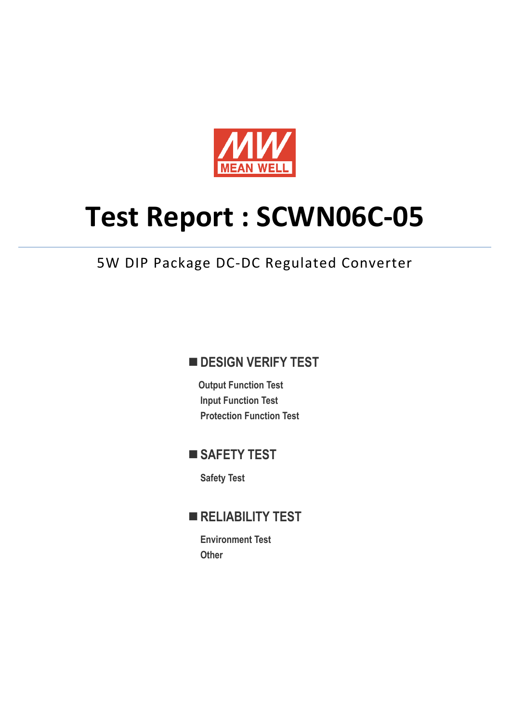

# **Test Report : SCWN06C-05**

## 5W DIP Package DC-DC Regulated Converter

## **DESIGN VERIFY TEST**

**Output Function Test Input Function Test Protection Function Test** 

## **SAFETY TEST**

**Safety Test** 

## **RELIABILITY TEST**

**Environment Test Other**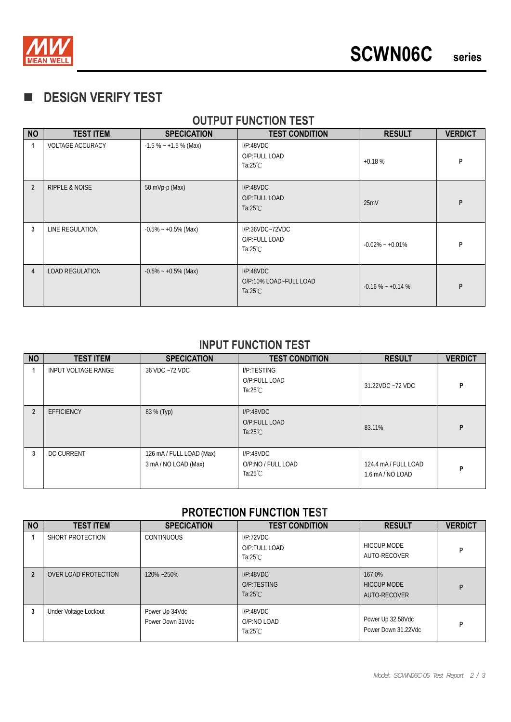

## **DESIGN VERIFY TEST**

#### **OUTPUT FUNCTION TEST**

| <b>NO</b>      | <b>TEST ITEM</b>          | <b>SPECICATION</b>      | <b>TEST CONDITION</b>                                     | <b>RESULT</b>       | <b>VERDICT</b> |
|----------------|---------------------------|-------------------------|-----------------------------------------------------------|---------------------|----------------|
| -1             | <b>VOLTAGE ACCURACY</b>   | $-1.5\% - +1.5\%$ (Max) | I/P:48VDC<br>O/P:FULL LOAD<br>Ta:25 $°C$                  | $+0.18%$            | P              |
| $\overline{2}$ | <b>RIPPLE &amp; NOISE</b> | 50 mVp-p (Max)          | I/P:48VDC<br>O/P:FULL LOAD<br>Ta: $25^{\circ}$ C          | 25mV                | P              |
| 3              | LINE REGULATION           | $-0.5\% - +0.5\%$ (Max) | $I/P:36VDC-72VDC$<br>O/P:FULL LOAD<br>Ta:25 $°C$          | $-0.02\% - +0.01\%$ | P              |
| 4              | <b>LOAD REGULATION</b>    | $-0.5\% - +0.5\%$ (Max) | I/P:48VDC<br>O/P:10% LOAD~FULL LOAD<br>Ta: $25^{\circ}$ C | $-0.16\% - +0.14\%$ | P              |

#### **INPUT FUNCTION TEST**

| <b>NO</b>      | <b>TEST ITEM</b>           | <b>SPECICATION</b>                             | <b>TEST CONDITION</b>                                 | <b>RESULT</b>                            | <b>VERDICT</b> |
|----------------|----------------------------|------------------------------------------------|-------------------------------------------------------|------------------------------------------|----------------|
|                | <b>INPUT VOLTAGE RANGE</b> | 36 VDC ~72 VDC                                 | I/P:TESTING<br>O/P:FULL LOAD<br>Ta: $25^{\circ}$ C    | 31.22VDC ~72 VDC                         | P              |
| $\overline{2}$ | <b>EFFICIENCY</b>          | 83 % (Typ)                                     | I/P:48VDC<br>O/P:FULL LOAD<br>Ta: $25^{\circ}$ C      | 83.11%                                   | P              |
| 3              | <b>DC CURRENT</b>          | 126 mA / FULL LOAD (Max)<br>3 mA/NO LOAD (Max) | I/P:48VDC<br>O/P:NO / FULL LOAD<br>Ta: $25^{\circ}$ C | 124.4 mA/FULL LOAD<br>$1.6$ mA / NO LOAD | P              |

### **PROTECTION FUNCTION TEST**

| <b>NO</b>    | <b>TEST ITEM</b>      | <b>SPECICATION</b>                 | <b>TEST CONDITION</b>                            | <b>RESULT</b>                                | <b>VERDICT</b> |
|--------------|-----------------------|------------------------------------|--------------------------------------------------|----------------------------------------------|----------------|
|              | SHORT PROTECTION      | <b>CONTINUOUS</b>                  | I/P:72VDC<br>O/P:FULL LOAD<br>Ta: $25^{\circ}$ C | <b>HICCUP MODE</b><br>AUTO-RECOVER           | P              |
| $\mathbf{2}$ | OVER LOAD PROTECTION  | 120%~250%                          | I/P:48VDC<br>O/P:TESTING<br>Ta: $25^{\circ}$ C   | 167.0%<br><b>HICCUP MODE</b><br>AUTO-RECOVER | P              |
| 3            | Under Voltage Lockout | Power Up 34Vdc<br>Power Down 31Vdc | I/P:48VDC<br>O/P:NO LOAD<br>Ta: $25^{\circ}$ C   | Power Up 32.58Vdc<br>Power Down 31.22Vdc     | P              |